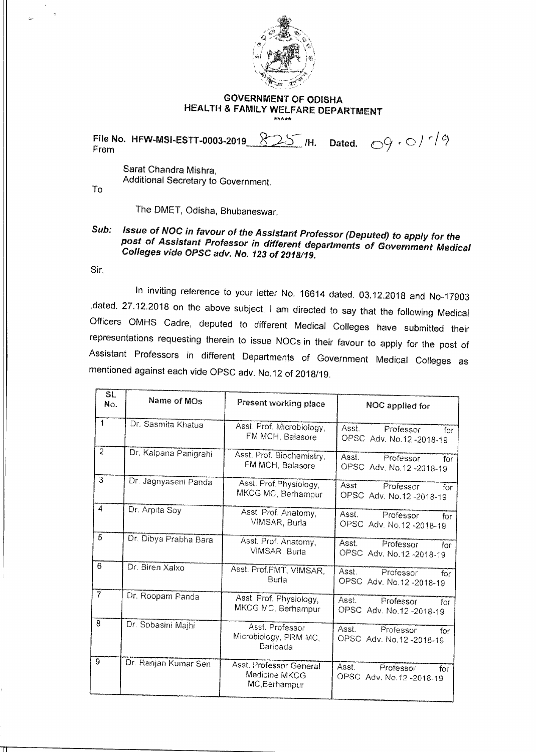

## **GOVERNMENT OF ODISHA HEALTH & FAMILY WELFARE DEPARTMENT**

From **File No. HFW-MSI-ESTT-0003-2019 825 /H. Dated.**  $\bigcirc^{\circ}$   $\cdot$   $\bigcirc$   $\bigcirc$   $\bigcirc$   $\bigcirc$   $\bigcirc$   $\bigcirc$   $\bigcirc$   $\bigcirc$ 

Sarat Chandra Mishra, Additional Secretary to Government.

To

The DMET, Odisha, Bhubaneswar.

## **Sub: Issue of NOC in favour of the Assistant Professor (Deputed) to apply for the post of Assistant Professor in different departments of Government Medical Colleges vide OPSC adv. No. 123 of 2018/19.**

Sir,

In inviting reference to your letter No. 16614 dated. 03.12.2018 and No-17903 ,dated. 27.12.2018 on the above subject, I am directed to say that the following Medical Officers OMHS Cadre, deputed to different Medical Colleges have submitted their representations requesting therein to issue NOCs in their favour to apply for the post of Assistant Professors in different Departments of Government Medical Colleges as mentioned against each vide OPSC adv. No.12 of 2018/19.

| SL.            |                       |                                                           |                                                        |
|----------------|-----------------------|-----------------------------------------------------------|--------------------------------------------------------|
| No.            | Name of MOs           | Present working place                                     | NOC applied for                                        |
| $\mathbf{1}$   | Dr. Sasmita Khatua    | Asst. Prof. Microbiology,<br>FM MCH, Balasore             | Asst.<br>Professor<br>for<br>OPSC Adv. No.12-2018-19   |
| $\overline{2}$ | Dr. Kalpana Panigrahi | Asst. Prof. Biochemistry,<br>FM MCH, Balasore             | Asst.<br>Professor<br>for<br>OPSC Adv. No.12 -2018-19  |
| 3              | Dr. Jagnyaseni Panda  | Asst. Prof.Physiology,<br>MKCG MC, Berhampur              | Asst.<br>Professor<br>for<br>OPSC Adv. No.12-2018-19   |
| 4              | Dr. Arpita Soy        | Asst. Prof. Anatomy,<br>VIMSAR, Burla                     | Asst.<br>Professor<br>for<br>OPSC Adv. No.12 -2018-19  |
| $\overline{5}$ | Dr. Dibya Prabha Bara | Asst. Prof. Anatomy,<br>VIMSAR, Burla                     | Asst.<br>Professor<br>for<br>OPSC Adv. No.12 -2018-19  |
| 6              | Dr. Biren Xalxo       | Asst. Prof.FMT, VIMSAR.<br>Burla                          | Asst.<br>Professor<br>for<br>OPSC Adv. No.12-2018-19   |
| $\overline{7}$ | Dr. Roopam Panda      | Asst. Prof. Physiology,<br>MKCG MC, Berhampur             | Asst.<br>Professor<br>for<br>OPSC Adv. No.12 -2018-19  |
| 8              | Dr. Sobasini Majhi    | Asst. Professor<br>Microbiology, PRM MC,<br>Baripada      | Asst.<br>Professor<br>for<br>OPSC Adv. No.12-2018-19   |
| $\overline{9}$ | Dr. Ranjan Kumar Sen  | Asst. Professor General<br>Medicine MKCG<br>MC, Berhampur | Asst.<br>Professor<br>for<br>OPSC Adv. No.12 - 2018-19 |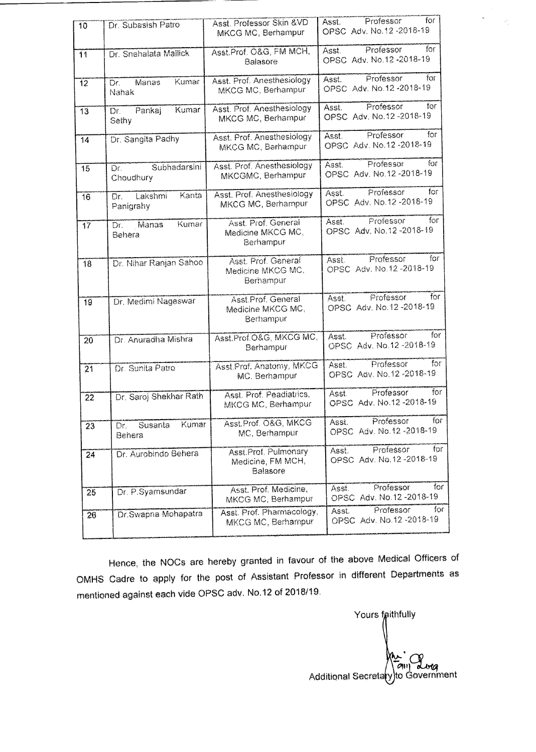| 10              | Dr. Subasish Patro                   | Asst. Professor Skin &VD<br>MKCG MC, Berhampur        | for<br>Professor<br>Asst.<br>OPSC Adv. No.12-2018-19    |
|-----------------|--------------------------------------|-------------------------------------------------------|---------------------------------------------------------|
| $\overline{11}$ | Dr. Snehalata Mallick                | Asst.Prof. O&G, FM MCH,<br>Balasore                   | for<br>Professor<br>Asst.<br>OPSC Adv. No.12 -2018-19   |
| 12              | Kumar<br>Manas<br>Dr.<br>Nahak       | Asst. Prof. Anesthesiology<br>MKCG MC, Berhampur      | Professor<br>for<br>Asst.<br>OPSC Adv. No.12 - 2018-19  |
| 13              | Kumar<br>Pankaj<br>Dr.<br>Sethy      | Asst. Prof. Anesthesiology<br>MKCG MC, Berhampur      | for<br>Professor<br>Asst.<br>OPSC Adv. No.12-2018-19    |
| 14              | Dr. Sangita Padhy                    | Asst. Prof. Anesthesiology<br>MKCG MC, Berhampur      | Professor<br>for<br>Asst.<br>OPSC Adv. No.12-2018-19    |
| 15              | Subhadarsini<br>Dг.<br>Choudhury     | Asst. Prof. Anesthesiology<br>MKCGMC, Berhampur       | for<br>Professor<br>Asst.<br>OPSC Adv. No.12 -2018-19   |
| 16              | Kanta<br>Lakshmi<br>Dr.<br>Panigrahy | Asst. Prof. Anesthesiology<br>MKCG MC, Berhampur      | for<br>Professor<br>Asst.<br>OPSC Adv. No.12-2018-19    |
| $\overline{17}$ | Kumar<br>Manas<br>Dr.<br>Behera      | Asst. Prof. General<br>Medicine MKCG MC,<br>Berhampur | Professor<br>for<br>Asst.<br>OPSC Adv. No. 12 - 2018-19 |
| 18              | Dr. Nihar Ranjan Sahoo               | Asst. Prof. General<br>Medicine MKCG MC,<br>Berhampur | for<br>Professor<br>Asst.<br>OPSC Adv. No.12-2018-19    |
| 19              | Dr. Medimi Nageswar                  | Asst.Prof. General<br>Medicine MKCG MC,<br>Berhampur  | Professor<br>for<br>Asst.<br>OPSC Adv. No.12-2018-19    |
| 20              | Dr. Anuradha Mishra                  | Asst.Prof.O&G, MKCG MC,<br>Berhampur                  | for<br>Professor<br>Asst.<br>OPSC Adv. No.12 -2018-19   |
| $\overline{21}$ | Dr. Sunita Patro                     | Asst Prof. Anatomy, MKCG<br>MC. Berhampur             | for<br>Professor<br>Asst.<br>OPSC Adv. No.12-2018-19    |
| 22              | Dr. Saroj Shekhar Rath               | Asst. Prof. Peadiatrics,<br>MKCG MC, Berhampur        | Professor<br>for<br>Ásst.<br>OPSC Adv. No.12-2018-19    |
| 23              | Kumar<br>Susanta<br>Dr.<br>Behera    | Asst.Prof. O&G, MKCG<br>MC, Berhampur                 | for<br>Professor<br>Asst.<br>OPSC Adv. No.12-2018-19    |
| 24              | Dr. Aurobindo Behera                 | Asst.Prof. Pulmonary<br>Medicine, FM MCH,<br>Balasore | Professor<br>for<br>Asst.<br>OPSC Adv. No.12-2018-19    |
| 25              | Dr. P.Syamsundar                     | Asst. Prof. Medicine,<br>MKCG MC, Berhampur           | Professor<br>for<br>Asst.<br>OPSC Adv. No.12 - 2018-19  |
| 26              | Dr. Swapna Mohapatra                 | Asst. Prof. Pharmacology,<br>MKCG MC, Berhampur       | for<br>Professor<br>Asst.<br>OPSC Adv. No.12 - 2018-19  |

Hence, the NOCs are hereby granted in favour of the above Medical Officers of OMHS Cadre to apply for the post of Assistant Professor in different Departments as mentioned against each vide OPSC adv. No.12 of 2018/19.

Additional Secrets am dolg<br>to Government Yours faithfully<br>  $\begin{pmatrix} 1 & 0 & 0 \\ 0 & 1 & 0 \\ 0 & 0 & 1 \end{pmatrix}$ 

 $\mathcal{P}_j$